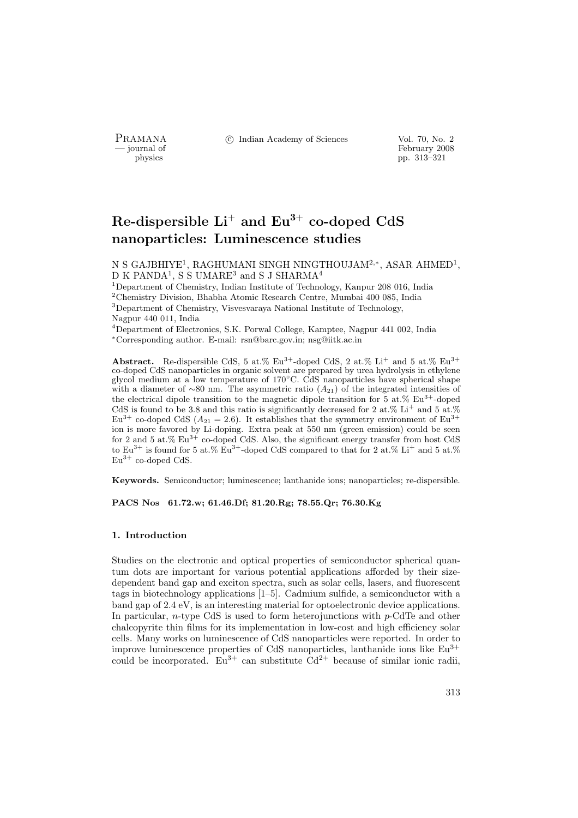PRAMANA <sup>C</sup> Indian Academy of Sciences Vol. 70, No. 2<br>
— journal of February 2008

physics<br>
and the settlement of February 2008<br>
pp. 313–321 physics pp. 313–321

# Re-dispersible  $Li^+$  and  $Eu^{3+}$  co-doped CdS nanoparticles: Luminescence studies

N S GAJBHIYE<sup>1</sup>, RAGHUMANI SINGH NINGTHOUJAM<sup>2,∗</sup>, ASAR AHMED<sup>1</sup>, D K PANDA<sup>1</sup>, S S UMARE<sup>3</sup> and S J SHARMA<sup>4</sup>

<sup>1</sup>Department of Chemistry, Indian Institute of Technology, Kanpur 208 016, India  $^{2}$ Chemistry Division, Bhabha Atomic Research Centre, Mumbai 400 085, India <sup>3</sup>Department of Chemistry, Visvesvaraya National Institute of Technology, Nagpur 440 011, India

<sup>4</sup>Department of Electronics, S.K. Porwal College, Kamptee, Nagpur 441 002, India <sup>∗</sup>Corresponding author. E-mail: rsn@barc.gov.in; nsg@iitk.ac.in

Abstract. Re-dispersible CdS, 5 at.%  $Eu^{3+}$ -doped CdS, 2 at.%  $Li^+$  and 5 at.%  $Eu^{3+}$ co-doped CdS nanoparticles in organic solvent are prepared by urea hydrolysis in ethylene glycol medium at a low temperature of 170◦C. CdS nanoparticles have spherical shape with a diameter of ∼80 nm. The asymmetric ratio  $(A_{21})$  of the integrated intensities of the electrical dipole transition to the magnetic dipole transition for  $\bar{5}$  at.% Eu<sup>3+</sup>-doped CdS is found to be 3.8 and this ratio is significantly decreased for 2 at.% Li<sup>+</sup> and 5 at.%  $Eu^{3+}$  co-doped CdS ( $A_{21} = 2.6$ ). It establishes that the symmetry environment of  $Eu^{3+}$ ion is more favored by Li-doping. Extra peak at 550 nm (green emission) could be seen for 2 and 5 at.%  $Eu^{3+}$  co-doped CdS. Also, the significant energy transfer from host CdS to  $Eu^{3+}$  is found for 5 at.%  $Eu^{3+}$ -doped CdS compared to that for 2 at.% Li<sup>+</sup> and 5 at.%  $Eu<sup>3+</sup>$  co-doped CdS.

Keywords. Semiconductor; luminescence; lanthanide ions; nanoparticles; re-dispersible.

#### PACS Nos 61.72.w; 61.46.Df; 81.20.Rg; 78.55.Qr; 76.30.Kg

#### 1. Introduction

Studies on the electronic and optical properties of semiconductor spherical quantum dots are important for various potential applications afforded by their sizedependent band gap and exciton spectra, such as solar cells, lasers, and fluorescent tags in biotechnology applications [1–5]. Cadmium sulfide, a semiconductor with a band gap of 2.4 eV, is an interesting material for optoelectronic device applications. In particular, *n*-type CdS is used to form heterojunctions with  $p$ -CdTe and other chalcopyrite thin films for its implementation in low-cost and high efficiency solar cells. Many works on luminescence of CdS nanoparticles were reported. In order to improve luminescence properties of CdS nanoparticles, lanthanide ions like  $Eu^{3+}$ could be incorporated.  $Eu^{3+}$  can substitute  $Cd^{2+}$  because of similar ionic radii,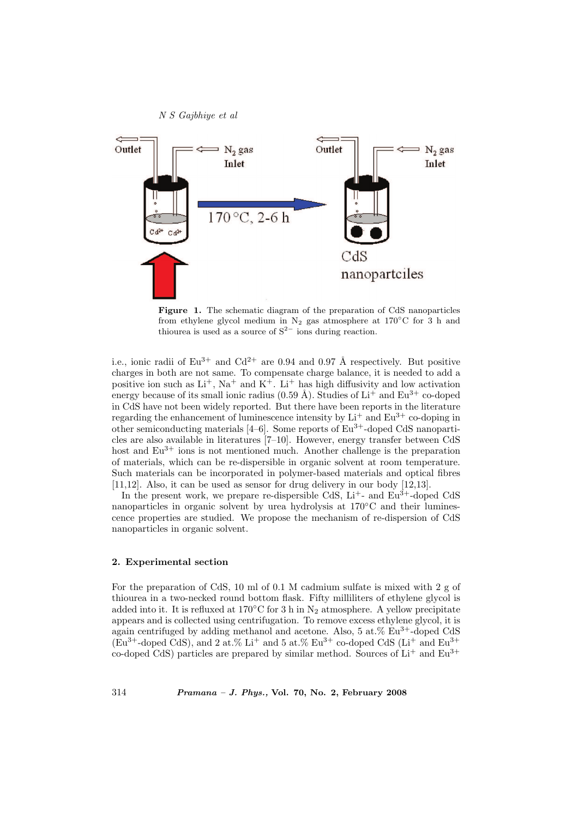

Figure 1. The schematic diagram of the preparation of CdS nanoparticles from ethylene glycol medium in  $N_2$  gas atmosphere at 170 $\rm ^{\circ}C$  for 3 h and thiourea is used as a source of  $S^{2-}$  ions during reaction.

i.e., ionic radii of  $Eu^{3+}$  and  $Cd^{2+}$  are 0.94 and 0.97 Å respectively. But positive charges in both are not same. To compensate charge balance, it is needed to add a positive ion such as  $Li^+$ ,  $Na^+$  and  $K^+$ .  $Li^+$  has high diffusivity and low activation energy because of its small ionic radius  $(0.59 \text{ Å})$ . Studies of Li<sup>+</sup> and Eu<sup>3+</sup> co-doped in CdS have not been widely reported. But there have been reports in the literature regarding the enhancement of luminescence intensity by  $Li<sup>+</sup>$  and  $Eu<sup>3+</sup>$  co-doping in other semiconducting materials [4–6]. Some reports of Eu3+-doped CdS nanoparticles are also available in literatures [7–10]. However, energy transfer between CdS host and  $Eu^{3+}$  ions is not mentioned much. Another challenge is the preparation of materials, which can be re-dispersible in organic solvent at room temperature. Such materials can be incorporated in polymer-based materials and optical fibres [11,12]. Also, it can be used as sensor for drug delivery in our body [12,13].

In the present work, we prepare re-dispersible CdS,  $Li<sup>+</sup>$ - and  $Eu<sup>3+</sup>$ -doped CdS nanoparticles in organic solvent by urea hydrolysis at 170◦C and their luminescence properties are studied. We propose the mechanism of re-dispersion of CdS nanoparticles in organic solvent.

### 2. Experimental section

For the preparation of CdS, 10 ml of 0.1 M cadmium sulfate is mixed with 2 g of thiourea in a two-necked round bottom flask. Fifty milliliters of ethylene glycol is added into it. It is refluxed at  $170^{\circ}$ C for 3 h in N<sub>2</sub> atmosphere. A yellow precipitate appears and is collected using centrifugation. To remove excess ethylene glycol, it is again centrifuged by adding methanol and acetone. Also, 5 at.%  $Eu^{3+}$ -doped CdS  $(Eu<sup>3+</sup>-doped CdS)$ , and 2 at.% Li<sup>+</sup> and 5 at.% Eu<sup>3+</sup> co-doped CdS (Li<sup>+</sup> and Eu<sup>3+</sup> co-doped CdS) particles are prepared by similar method. Sources of  $Li<sup>+</sup>$  and  $Eu<sup>3+</sup>$ 

314 Pramana – J. Phys., Vol. 70, No. 2, February 2008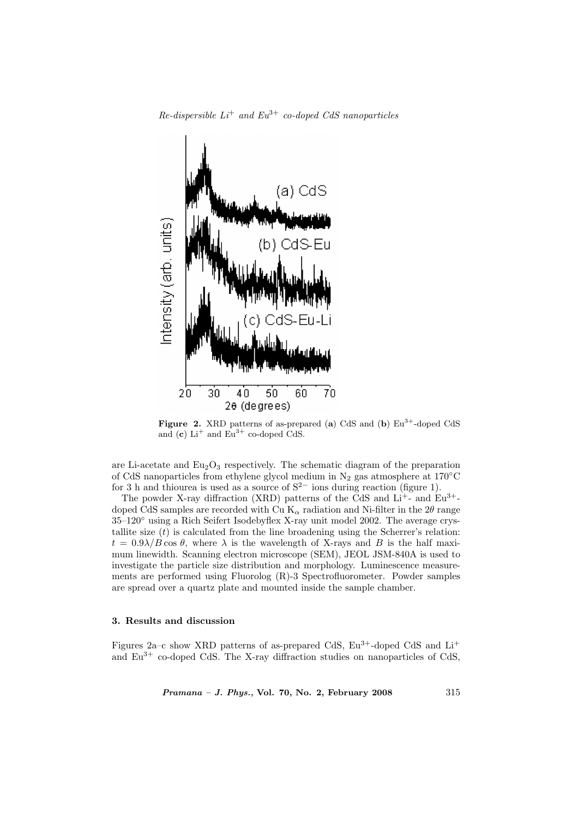

 $Re-dispersible\ Li^{+}$  and  $Eu^{3+}$  co-doped CdS nanoparticles

Figure 2. XRD patterns of as-prepared (a) CdS and (b)  $Eu^{3+}$ -doped CdS and  $(c)$  Li<sup>+</sup> and Eu<sup>3+</sup> co-doped CdS.

are Li-acetate and  $Eu<sub>2</sub>O<sub>3</sub>$  respectively. The schematic diagram of the preparation of CdS nanoparticles from ethylene glycol medium in  $N_2$  gas atmosphere at 170 $°C$ for 3 h and thiourea is used as a source of  $S^{2-}$  ions during reaction (figure 1).

The powder X-ray diffraction (XRD) patterns of the CdS and  $Li<sup>+</sup>$ - and  $Eu<sup>3+</sup>$ doped CdS samples are recorded with Cu  $K_{\alpha}$  radiation and Ni-filter in the 2 $\theta$  range 35–120◦ using a Rich Seifert Isodebyflex X-ray unit model 2002. The average crystallite size  $(t)$  is calculated from the line broadening using the Scherrer's relation:  $t = 0.9\lambda/B \cos \theta$ , where  $\lambda$  is the wavelength of X-rays and B is the half maximum linewidth. Scanning electron microscope (SEM), JEOL JSM-840A is used to investigate the particle size distribution and morphology. Luminescence measurements are performed using Fluorolog (R)-3 Spectrofluorometer. Powder samples are spread over a quartz plate and mounted inside the sample chamber.

#### 3. Results and discussion

Figures 2a–c show XRD patterns of as-prepared CdS,  $Eu^{3+}$ -doped CdS and  $Li^+$ and  $Eu<sup>3+</sup>$  co-doped CdS. The X-ray diffraction studies on nanoparticles of CdS,

*Pramana – J. Phys.*, Vol. 70, No. 2, February 2008  $315$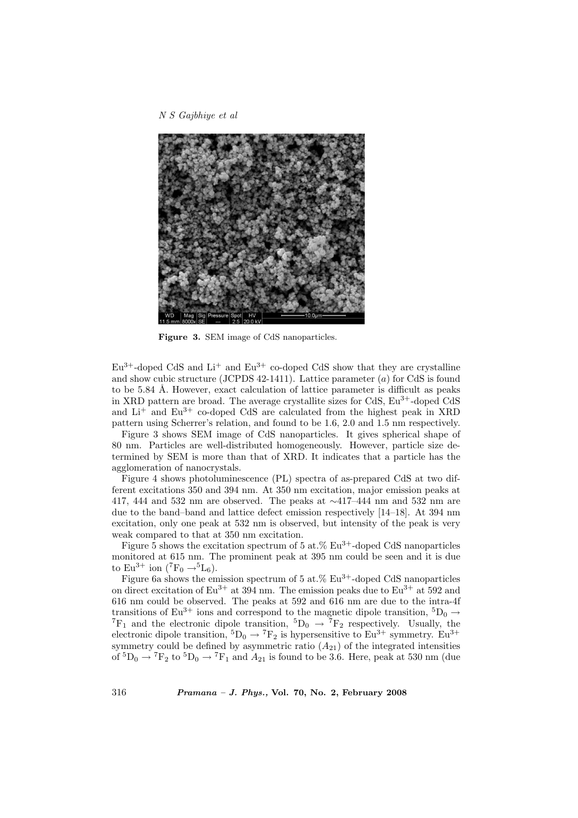N S Gajbhiye et al



Figure 3. SEM image of CdS nanoparticles.

 $Eu^{3+}$ -doped CdS and  $Li^+$  and  $Eu^{3+}$  co-doped CdS show that they are crystalline and show cubic structure (JCPDS 42-1411). Lattice parameter (a) for CdS is found to be 5.84 Å. However, exact calculation of lattice parameter is difficult as peaks in XRD pattern are broad. The average crystallite sizes for CdS,  $Eu^{3+}$ -doped CdS and  $Li<sup>+</sup>$  and  $Eu<sup>3+</sup>$  co-doped CdS are calculated from the highest peak in XRD pattern using Scherrer's relation, and found to be 1.6, 2.0 and 1.5 nm respectively.

Figure 3 shows SEM image of CdS nanoparticles. It gives spherical shape of 80 nm. Particles are well-distributed homogeneously. However, particle size determined by SEM is more than that of XRD. It indicates that a particle has the agglomeration of nanocrystals.

Figure 4 shows photoluminescence (PL) spectra of as-prepared CdS at two different excitations 350 and 394 nm. At 350 nm excitation, major emission peaks at 417, 444 and 532 nm are observed. The peaks at ∼417–444 nm and 532 nm are due to the band–band and lattice defect emission respectively [14–18]. At 394 nm excitation, only one peak at 532 nm is observed, but intensity of the peak is very weak compared to that at 350 nm excitation.

Figure 5 shows the excitation spectrum of 5 at.%  $Eu^{3+}$ -doped CdS nanoparticles monitored at 615 nm. The prominent peak at 395 nm could be seen and it is due to  $Eu^{3+}$  ion  $({}^7\text{F}_0 \rightarrow {}^5\text{L}_6).$ 

Figure 6a shows the emission spectrum of 5 at.%  $Eu^{3+}$ -doped CdS nanoparticles on direct excitation of  $Eu^{3+}$  at 394 nm. The emission peaks due to  $Eu^{3+}$  at 592 and 616 nm could be observed. The peaks at 592 and 616 nm are due to the intra-4f transitions of Eu<sup>3+</sup> ions and correspond to the magnetic dipole transition,  ${}^5D_0 \rightarrow$  ${}^{7}F_{1}$  and the electronic dipole transition,  ${}^{5}D_{0} \rightarrow {}^{7}F_{2}$  respectively. Usually, the electronic dipole transition,  ${}^5D_0 \rightarrow {}^7F_2$  is hypersensitive to Eu<sup>3+</sup> symmetry. Eu<sup>3+</sup> symmetry could be defined by asymmetric ratio  $(A_{21})$  of the integrated intensities of  ${}^5D_0 \rightarrow {}^7F_2$  to  ${}^5D_0 \rightarrow {}^7F_1$  and  $A_{21}$  is found to be 3.6. Here, peak at 530 nm (due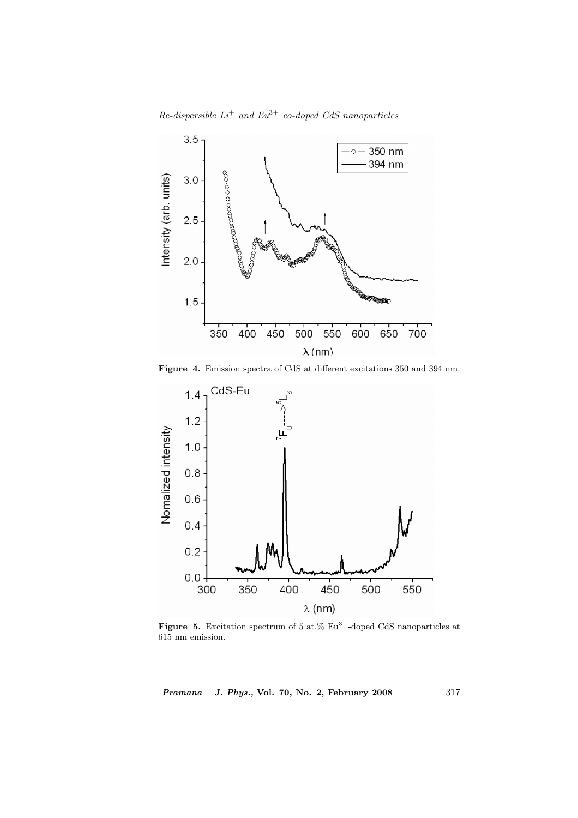$Re-dispersible\ Li^+$  and  $Eu^{3+}$  co-doped CdS nanoparticles



Figure 4. Emission spectra of CdS at different excitations 350 and 394 nm.



Figure 5. Excitation spectrum of 5 at.%  $Eu^{3+}$ -doped CdS nanoparticles at 615 nm emission.

Pramana – J. Phys., Vol. 70, No. 2, February 2008 317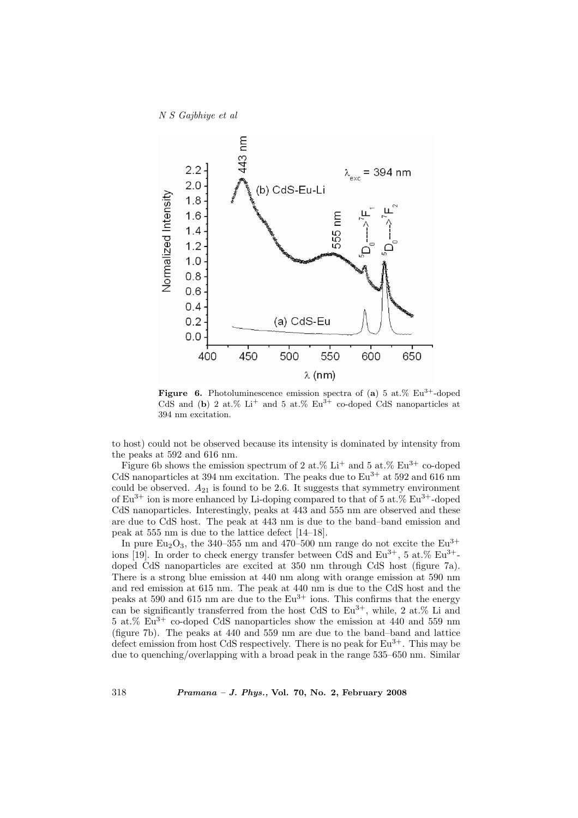N S Gajbhiye et al



**Figure 6.** Photoluminescence emission spectra of (a) 5 at.%  $Eu^{3+}$ -doped CdS and (b) 2 at.%  $Li^+$  and 5 at.%  $Eu^{3+}$  co-doped CdS nanoparticles at 394 nm excitation.

to host) could not be observed because its intensity is dominated by intensity from the peaks at 592 and 616 nm.

Figure 6b shows the emission spectrum of 2 at.%  $\mathrm{Li}^+$  and 5 at.%  $\mathrm{Eu}^{3+}$  co-doped CdS nanoparticles at 394 nm excitation. The peaks due to  $Eu^{3+}$  at 592 and 616 nm could be observed.  $A_{21}$  is found to be 2.6. It suggests that symmetry environment of  $Eu^{3+}$  ion is more enhanced by Li-doping compared to that of 5 at.%  $Eu^{3+}$ -doped CdS nanoparticles. Interestingly, peaks at 443 and 555 nm are observed and these are due to CdS host. The peak at 443 nm is due to the band–band emission and peak at 555 nm is due to the lattice defect [14–18].

In pure  $Eu_2O_3$ , the 340–355 nm and 470–500 nm range do not excite the  $Eu^{3+}$ ions [19]. In order to check energy transfer between CdS and  $Eu^{3+}$ , 5 at.%  $Eu^{3+}$ doped CdS nanoparticles are excited at 350 nm through CdS host (figure 7a). There is a strong blue emission at 440 nm along with orange emission at 590 nm and red emission at 615 nm. The peak at 440 nm is due to the CdS host and the peaks at 590 and 615 nm are due to the  $Eu^{3+}$  ions. This confirms that the energy can be significantly transferred from the host CdS to  $Eu^{3+}$ , while, 2 at.% Li and 5 at.% Eu3+ co-doped CdS nanoparticles show the emission at 440 and 559 nm (figure 7b). The peaks at 440 and 559 nm are due to the band–band and lattice defect emission from host CdS respectively. There is no peak for  $Eu^{3+}$ . This may be due to quenching/overlapping with a broad peak in the range 535–650 nm. Similar

318 Pramana – J. Phys., Vol. 70, No. 2, February 2008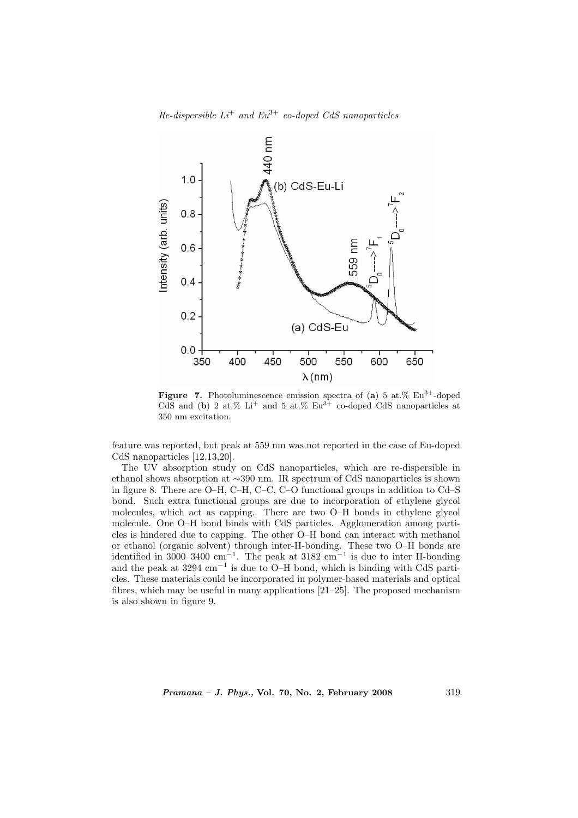$Re-dispersible\ Li^{+}$  and  $Eu^{3+}$  co-doped CdS nanoparticles



**Figure 7.** Photoluminescence emission spectra of (a) 5 at.%  $Eu^{3+}$ -doped CdS and (b) 2 at.%  $Li^+$  and 5 at.%  $Eu^{3+}$  co-doped CdS nanoparticles at 350 nm excitation.

feature was reported, but peak at 559 nm was not reported in the case of Eu-doped CdS nanoparticles [12,13,20].

The UV absorption study on CdS nanoparticles, which are re-dispersible in ethanol shows absorption at ∼390 nm. IR spectrum of CdS nanoparticles is shown in figure 8. There are O–H, C–H, C–C, C–O functional groups in addition to Cd–S bond. Such extra functional groups are due to incorporation of ethylene glycol molecules, which act as capping. There are two O–H bonds in ethylene glycol molecule. One O–H bond binds with CdS particles. Agglomeration among particles is hindered due to capping. The other O–H bond can interact with methanol or ethanol (organic solvent) through inter-H-bonding. These two O–H bonds are identified in 3000–3400 cm<sup>-1</sup>. The peak at 3182 cm<sup>-1</sup> is due to inter H-bonding and the peak at 3294 cm<sup>−</sup><sup>1</sup> is due to O–H bond, which is binding with CdS particles. These materials could be incorporated in polymer-based materials and optical fibres, which may be useful in many applications [21–25]. The proposed mechanism is also shown in figure 9.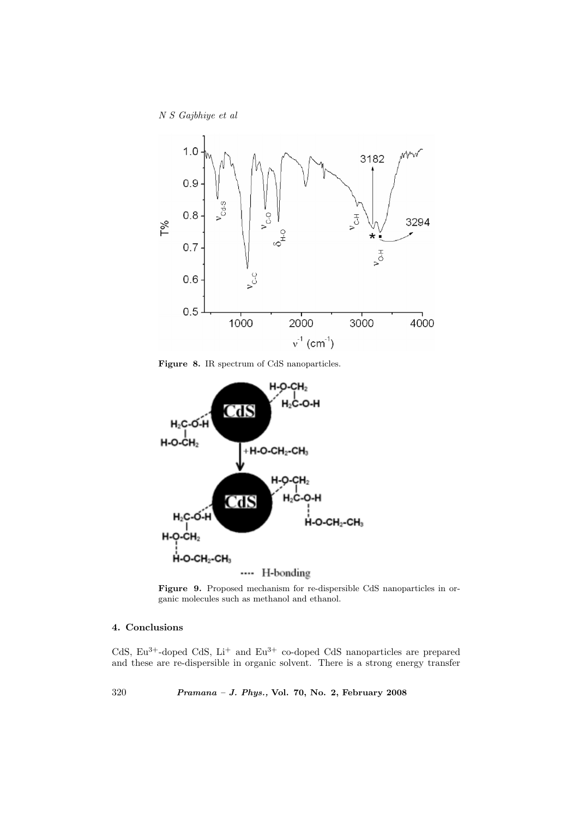N S Gajbhiye et al



Figure 8. IR spectrum of CdS nanoparticles.



Figure 9. Proposed mechanism for re-dispersible CdS nanoparticles in organic molecules such as methanol and ethanol.

## 4. Conclusions

CdS,  $Eu^{3+}$ -doped CdS,  $Li^+$  and  $Eu^{3+}$  co-doped CdS nanoparticles are prepared and these are re-dispersible in organic solvent. There is a strong energy transfer

320 Pramana – J. Phys., Vol. 70, No. 2, February 2008